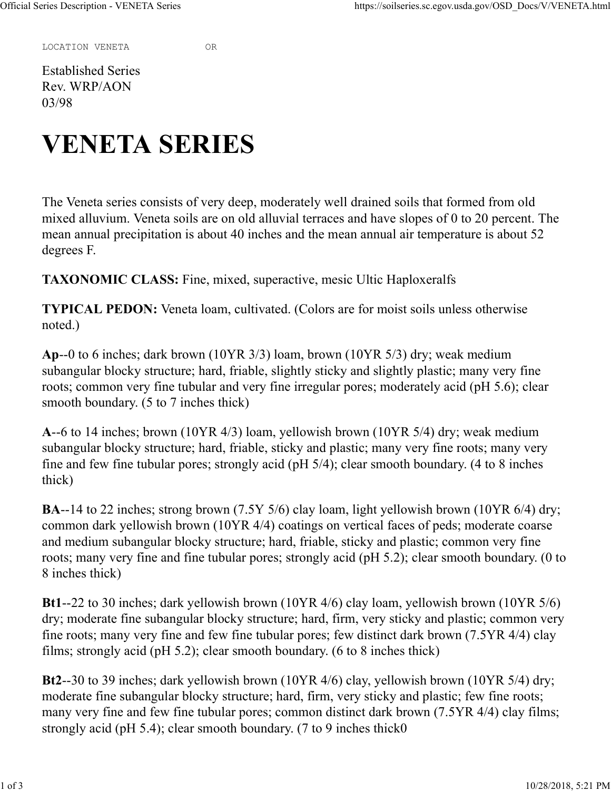LOCATION VENETA OR

Established Series Rev. WRP/AON 03/98

## VENETA SERIES

The Veneta series consists of very deep, moderately well drained soils that formed from old mixed alluvium. Veneta soils are on old alluvial terraces and have slopes of 0 to 20 percent. The mean annual precipitation is about 40 inches and the mean annual air temperature is about 52 degrees F.

TAXONOMIC CLASS: Fine, mixed, superactive, mesic Ultic Haploxeralfs

TYPICAL PEDON: Veneta loam, cultivated. (Colors are for moist soils unless otherwise noted.)

Ap--0 to 6 inches; dark brown (10YR 3/3) loam, brown (10YR 5/3) dry; weak medium subangular blocky structure; hard, friable, slightly sticky and slightly plastic; many very fine roots; common very fine tubular and very fine irregular pores; moderately acid (pH 5.6); clear smooth boundary. (5 to 7 inches thick)

A--6 to 14 inches; brown (10YR 4/3) loam, yellowish brown (10YR 5/4) dry; weak medium subangular blocky structure; hard, friable, sticky and plastic; many very fine roots; many very fine and few fine tubular pores; strongly acid (pH 5/4); clear smooth boundary. (4 to 8 inches thick)

BA--14 to 22 inches; strong brown (7.5Y 5/6) clay loam, light yellowish brown (10YR 6/4) dry; common dark yellowish brown (10YR 4/4) coatings on vertical faces of peds; moderate coarse and medium subangular blocky structure; hard, friable, sticky and plastic; common very fine roots; many very fine and fine tubular pores; strongly acid (pH 5.2); clear smooth boundary. (0 to 8 inches thick)

Bt1--22 to 30 inches; dark yellowish brown (10YR 4/6) clay loam, yellowish brown (10YR 5/6) dry; moderate fine subangular blocky structure; hard, firm, very sticky and plastic; common very fine roots; many very fine and few fine tubular pores; few distinct dark brown (7.5YR 4/4) clay films; strongly acid (pH 5.2); clear smooth boundary. (6 to 8 inches thick)

Bt2--30 to 39 inches; dark yellowish brown (10YR 4/6) clay, yellowish brown (10YR 5/4) dry; moderate fine subangular blocky structure; hard, firm, very sticky and plastic; few fine roots; many very fine and few fine tubular pores; common distinct dark brown (7.5YR 4/4) clay films; strongly acid (pH 5.4); clear smooth boundary. (7 to 9 inches thick0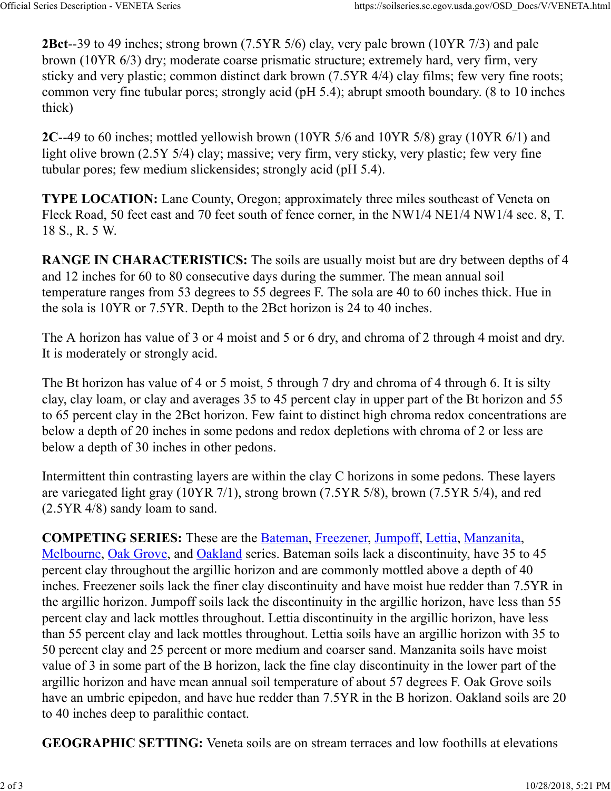2Bct--39 to 49 inches; strong brown (7.5YR 5/6) clay, very pale brown (10YR 7/3) and pale brown (10YR 6/3) dry; moderate coarse prismatic structure; extremely hard, very firm, very sticky and very plastic; common distinct dark brown (7.5YR 4/4) clay films; few very fine roots; common very fine tubular pores; strongly acid (pH 5.4); abrupt smooth boundary. (8 to 10 inches thick) Official Series Description - VENETA Series<br>
2Bct--39 to 49 inches; strong brown (7.5YR 5/6) clay, very pale brown (10YR 7/3) and pale<br>
brown (10YR 6/3) dry; moderate coarse prismatic structure; extremely hard, very firm,

2C--49 to 60 inches; mottled yellowish brown (10YR 5/6 and 10YR 5/8) gray (10YR 6/1) and light olive brown (2.5Y 5/4) clay; massive; very firm, very sticky, very plastic; few very fine tubular pores; few medium slickensides; strongly acid (pH 5.4).

TYPE LOCATION: Lane County, Oregon; approximately three miles southeast of Veneta on Fleck Road, 50 feet east and 70 feet south of fence corner, in the NW1/4 NE1/4 NW1/4 sec. 8, T. 18 S., R. 5 W.

RANGE IN CHARACTERISTICS: The soils are usually moist but are dry between depths of 4 and 12 inches for 60 to 80 consecutive days during the summer. The mean annual soil temperature ranges from 53 degrees to 55 degrees F. The sola are 40 to 60 inches thick. Hue in the sola is 10YR or 7.5YR. Depth to the 2Bct horizon is 24 to 40 inches.

The A horizon has value of 3 or 4 moist and 5 or 6 dry, and chroma of 2 through 4 moist and dry. It is moderately or strongly acid.

The Bt horizon has value of 4 or 5 moist, 5 through 7 dry and chroma of 4 through 6. It is silty clay, clay loam, or clay and averages 35 to 45 percent clay in upper part of the Bt horizon and 55 to 65 percent clay in the 2Bct horizon. Few faint to distinct high chroma redox concentrations are below a depth of 20 inches in some pedons and redox depletions with chroma of 2 or less are below a depth of 30 inches in other pedons.

Intermittent thin contrasting layers are within the clay C horizons in some pedons. These layers are variegated light gray (10YR 7/1), strong brown (7.5YR 5/8), brown (7.5YR 5/4), and red (2.5YR 4/8) sandy loam to sand.

COMPETING SERIES: These are the Bateman, Freezener, Jumpoff, Lettia, Manzanita, Melbourne, Oak Grove, and Oakland series. Bateman soils lack a discontinuity, have 35 to 45 percent clay throughout the argillic horizon and are commonly mottled above a depth of 40 inches. Freezener soils lack the finer clay discontinuity and have moist hue redder than 7.5YR in the argillic horizon. Jumpoff soils lack the discontinuity in the argillic horizon, have less than 55 percent clay and lack mottles throughout. Lettia discontinuity in the argillic horizon, have less than 55 percent clay and lack mottles throughout. Lettia soils have an argillic horizon with 35 to 50 percent clay and 25 percent or more medium and coarser sand. Manzanita soils have moist value of 3 in some part of the B horizon, lack the fine clay discontinuity in the lower part of the argillic horizon and have mean annual soil temperature of about 57 degrees F. Oak Grove soils have an umbric epipedon, and have hue redder than 7.5YR in the B horizon. Oakland soils are 20 to 40 inches deep to paralithic contact.

GEOGRAPHIC SETTING: Veneta soils are on stream terraces and low foothills at elevations